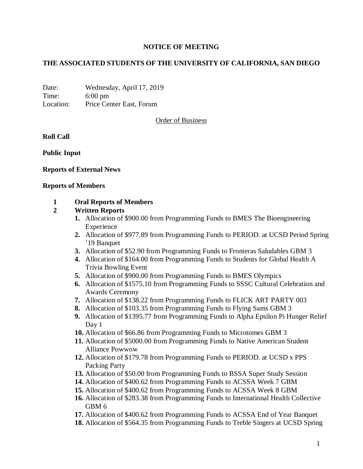## **NOTICE OF MEETING**

# **THE ASSOCIATED STUDENTS OF THE UNIVERSITY OF CALIFORNIA, SAN DIEGO**

Date: Wednesday, April 17, 2019 Time: 6:00 pm Location: Price Center East, Forum

Order of Business

**Roll Call**

**Public Input**

## **Reports of External News**

#### **Reports of Members**

## **1 Oral Reports of Members**

## **2 Written Reports**

- **1.** Allocation of \$900.00 from Programming Funds to BMES The Bioengineering Experience
- **2.** Allocation of \$977.89 from Programming Funds to PERIOD. at UCSD Period Spring '19 Banquet
- **3.** Allocation of \$52.90 from Programming Funds to Fronteras Saludables GBM 3
- **4.** Allocation of \$164.00 from Programming Funds to Students for Global Health A Trivia Bowling Event
- **5.** Allocation of \$900.00 from Programming Funds to BMES Olympics
- **6.** Allocation of \$1575.10 from Programming Funds to SSSC Cultural Celebration and Awards Ceremony
- **7.** Allocation of \$138.22 from Programming Funds to FLICK ART PARTY 003
- **8.** Allocation of \$103.35 from Programming Funds to Flying Sams GBM 3
- **9.** Allocation of \$1395.77 from Programming Funds to Alpha Epsilon Pi Hunger Relief Day 1
- **10.** Allocation of \$66.86 from Programming Funds to Microtomes GBM 3
- **11.** Allocation of \$5000.00 from Programming Funds to Native American Student Alliance Powwow
- **12.** Allocation of \$179.78 from Programming Funds to PERIOD. at UCSD x PPS Packing Party
- **13.** Allocation of \$50.00 from Programming Funds to BSSA Super Study Session
- **14.** Allocation of \$400.62 from Programming Funds to ACSSA Week 7 GBM
- **15.** Allocation of \$400.62 from Programming Funds to ACSSA Week 8 GBM
- **16.** Allocation of \$283.38 from Programming Funds to International Health Collective GBM 6
- **17.** Allocation of \$400.62 from Programming Funds to ACSSA End of Year Banquet
- **18.** Allocation of \$564.35 from Programming Funds to Treble Singers at UCSD Spring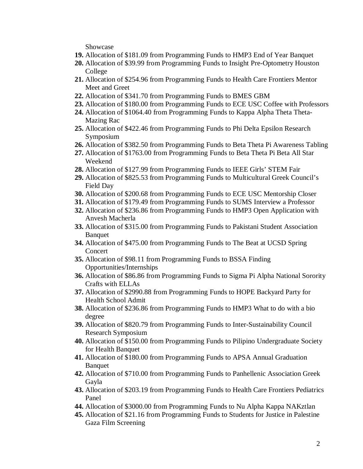Showcase

- **19.** Allocation of \$181.09 from Programming Funds to HMP3 End of Year Banquet
- **20.** Allocation of \$39.99 from Programming Funds to Insight Pre-Optometry Houston College
- **21.** Allocation of \$254.96 from Programming Funds to Health Care Frontiers Mentor Meet and Greet
- **22.** Allocation of \$341.70 from Programming Funds to BMES GBM
- **23.** Allocation of \$180.00 from Programming Funds to ECE USC Coffee with Professors
- **24.** Allocation of \$1064.40 from Programming Funds to Kappa Alpha Theta Theta-Mazing Rac
- **25.** Allocation of \$422.46 from Programming Funds to Phi Delta Epsilon Research Symposium
- **26.** Allocation of \$382.50 from Programming Funds to Beta Theta Pi Awareness Tabling
- **27.** Allocation of \$1763.00 from Programming Funds to Beta Theta Pi Beta All Star Weekend
- **28.** Allocation of \$127.99 from Programming Funds to IEEE Girls' STEM Fair
- **29.** Allocation of \$825.53 from Programming Funds to Multicultural Greek Council's Field Day
- **30.** Allocation of \$200.68 from Programming Funds to ECE USC Mentorship Closer
- **31.** Allocation of \$179.49 from Programming Funds to SUMS Interview a Professor
- **32.** Allocation of \$236.86 from Programming Funds to HMP3 Open Application with Anvesh Macherla
- **33.** Allocation of \$315.00 from Programming Funds to Pakistani Student Association **Banquet**
- **34.** Allocation of \$475.00 from Programming Funds to The Beat at UCSD Spring Concert
- **35.** Allocation of \$98.11 from Programming Funds to BSSA Finding Opportunities/Internships
- **36.** Allocation of \$86.86 from Programming Funds to Sigma Pi Alpha National Sorority Crafts with ELLAs
- **37.** Allocation of \$2990.88 from Programming Funds to HOPE Backyard Party for Health School Admit
- **38.** Allocation of \$236.86 from Programming Funds to HMP3 What to do with a bio degree
- **39.** Allocation of \$820.79 from Programming Funds to Inter-Sustainability Council Research Symposium
- **40.** Allocation of \$150.00 from Programming Funds to Pilipino Undergraduate Society for Health Banquet
- **41.** Allocation of \$180.00 from Programming Funds to APSA Annual Graduation Banquet
- **42.** Allocation of \$710.00 from Programming Funds to Panhellenic Association Greek Gayla
- **43.** Allocation of \$203.19 from Programming Funds to Health Care Frontiers Pediatrics Panel
- **44.** Allocation of \$3000.00 from Programming Funds to Nu Alpha Kappa NAKztlan
- **45.** Allocation of \$21.16 from Programming Funds to Students for Justice in Palestine Gaza Film Screening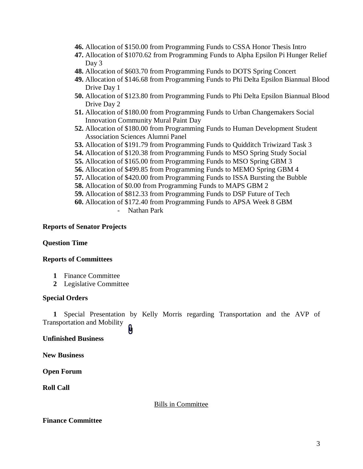- **46.** Allocation of \$150.00 from Programming Funds to CSSA Honor Thesis Intro
- **47.** Allocation of \$1070.62 from Programming Funds to Alpha Epsilon Pi Hunger Relief Day 3
- **48.** Allocation of \$603.70 from Programming Funds to DOTS Spring Concert
- **49.** Allocation of \$146.68 from Programming Funds to Phi Delta Epsilon Biannual Blood Drive Day 1
- **50.** Allocation of \$123.80 from Programming Funds to Phi Delta Epsilon Biannual Blood Drive Day 2
- **51.** Allocation of \$180.00 from Programming Funds to Urban Changemakers Social Innovation Community Mural Paint Day
- **52.** Allocation of \$180.00 from Programming Funds to Human Development Student Association Sciences Alumni Panel
- **53.** Allocation of \$191.79 from Programming Funds to Quidditch Triwizard Task 3
- **54.** Allocation of \$120.38 from Programming Funds to MSO Spring Study Social
- **55.** Allocation of \$165.00 from Programming Funds to MSO Spring GBM 3
- **56.** Allocation of \$499.85 from Programming Funds to MEMO Spring GBM 4
- **57.** Allocation of \$420.00 from Programming Funds to ISSA Bursting the Bubble
- **58.** Allocation of \$0.00 from Programming Funds to MAPS GBM 2
- **59.** Allocation of \$812.33 from Programming Funds to DSP Future of Tech
- **60.** Allocation of \$172.40 from Programming Funds to APSA Week 8 GBM
	- Nathan Park

#### **Reports of Senator Projects**

## **Question Time**

#### **Reports of Committees**

- **1** Finance Committee
- **2** Legislative Committee

#### **Special Orders**

**1** Special Presentation by Kelly Morris regarding Transportation and the AVP of Transportation and Mobility

## **Unfinished Business**

**New Business**

**Open Forum**

**Roll Call**

#### Bills in Committee

## **Finance Committee**